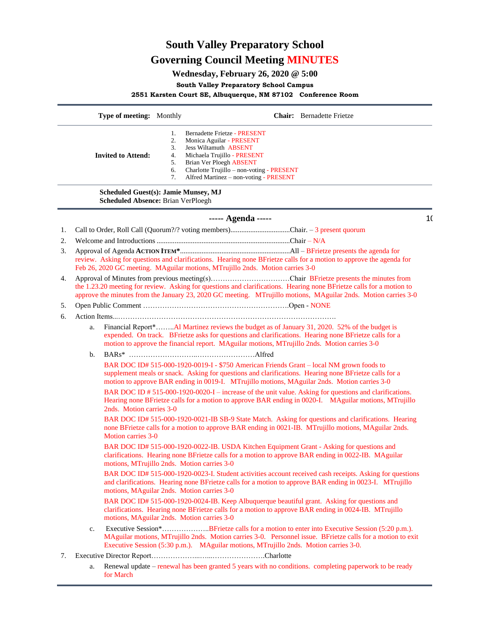# **South Valley Preparatory School Governing Council Meeting MINUTES**

# **Wednesday, February 26, 2020 @ 5:00**

## **South Valley Preparatory School Campus**

## **2551 Karsten Court SE, Albuquerque, NM 87102 Conference Room**

|    |                                                                                                                                                                                                                                                                                                                                | Type of meeting: Monthly                                                   |                                        | <b>Chair:</b> Bernadette Frietze                                                                                                                                                                                                                                                                                                                                                                                                                                                                                      |    |
|----|--------------------------------------------------------------------------------------------------------------------------------------------------------------------------------------------------------------------------------------------------------------------------------------------------------------------------------|----------------------------------------------------------------------------|----------------------------------------|-----------------------------------------------------------------------------------------------------------------------------------------------------------------------------------------------------------------------------------------------------------------------------------------------------------------------------------------------------------------------------------------------------------------------------------------------------------------------------------------------------------------------|----|
|    |                                                                                                                                                                                                                                                                                                                                | <b>Invited to Attend:</b>                                                  | 1.<br>2.<br>3.<br>4.<br>5.<br>6.<br>7. | Bernadette Frietze - PRESENT<br>Monica Aguilar - PRESENT<br><b>Jess Wiltamuth ABSENT</b><br>Michaela Trujillo - PRESENT<br><b>Brian Ver Ploegh ABSENT</b><br>Charlotte Trujillo - non-voting - PRESENT<br>Alfred Martinez - non-voting - PRESENT                                                                                                                                                                                                                                                                      |    |
|    |                                                                                                                                                                                                                                                                                                                                | Scheduled Guest(s): Jamie Munsey, MJ<br>Scheduled Absence: Brian VerPloegh |                                        |                                                                                                                                                                                                                                                                                                                                                                                                                                                                                                                       |    |
|    |                                                                                                                                                                                                                                                                                                                                |                                                                            |                                        | ----- Agenda -----                                                                                                                                                                                                                                                                                                                                                                                                                                                                                                    | 1( |
| 1. |                                                                                                                                                                                                                                                                                                                                |                                                                            |                                        | Call to Order, Roll Call (Quorum?/? voting members)Chair. – 3 present quorum                                                                                                                                                                                                                                                                                                                                                                                                                                          |    |
| 2. |                                                                                                                                                                                                                                                                                                                                |                                                                            |                                        |                                                                                                                                                                                                                                                                                                                                                                                                                                                                                                                       |    |
| 3. |                                                                                                                                                                                                                                                                                                                                |                                                                            |                                        | review. Asking for questions and clarifications. Hearing none BFrietze calls for a motion to approve the agenda for<br>Feb 26, 2020 GC meeting. MAguilar motions, MTrujillo 2nds. Motion carries 3-0                                                                                                                                                                                                                                                                                                                  |    |
| 4. | Approval of Minutes from previous meeting(s)Chair BFrietze presents the minutes from<br>the 1.23.20 meeting for review. Asking for questions and clarifications. Hearing none BFrietze calls for a motion to<br>approve the minutes from the January 23, 2020 GC meeting. MTrujillo motions, MAguilar 2nds. Motion carries 3-0 |                                                                            |                                        |                                                                                                                                                                                                                                                                                                                                                                                                                                                                                                                       |    |
| 5. |                                                                                                                                                                                                                                                                                                                                |                                                                            |                                        |                                                                                                                                                                                                                                                                                                                                                                                                                                                                                                                       |    |
| 6. |                                                                                                                                                                                                                                                                                                                                |                                                                            |                                        |                                                                                                                                                                                                                                                                                                                                                                                                                                                                                                                       |    |
|    | a.                                                                                                                                                                                                                                                                                                                             |                                                                            |                                        | Financial Report*Al Martinez reviews the budget as of January 31, 2020. 52% of the budget is<br>expended. On track. BFrietze asks for questions and clarifications. Hearing none BFrietze calls for a<br>motion to approve the financial report. MAguilar motions, MTrujillo 2nds. Motion carries 3-0                                                                                                                                                                                                                 |    |
|    | b.                                                                                                                                                                                                                                                                                                                             |                                                                            |                                        |                                                                                                                                                                                                                                                                                                                                                                                                                                                                                                                       |    |
|    |                                                                                                                                                                                                                                                                                                                                |                                                                            |                                        | BAR DOC ID# 515-000-1920-0019-I - \$750 American Friends Grant - local NM grown foods to<br>supplement meals or snack. Asking for questions and clarifications. Hearing none BFrietze calls for a<br>motion to approve BAR ending in 0019-I. MTrujillo motions, MAguilar 2nds. Motion carries 3-0<br>BAR DOC ID # 515-000-1920-0020-I – increase of the unit value. Asking for questions and clarifications.<br>Hearing none BFrietze calls for a motion to approve BAR ending in 0020-I. MAguilar motions, MTrujillo |    |
|    |                                                                                                                                                                                                                                                                                                                                | 2nds. Motion carries 3-0                                                   |                                        |                                                                                                                                                                                                                                                                                                                                                                                                                                                                                                                       |    |
|    |                                                                                                                                                                                                                                                                                                                                | <b>Motion carries 3-0</b>                                                  |                                        | BAR DOC ID# 515-000-1920-0021-IB SB-9 State Match. Asking for questions and clarifications. Hearing<br>none BFrietze calls for a motion to approve BAR ending in 0021-IB. MTrujillo motions, MAguilar 2nds.                                                                                                                                                                                                                                                                                                           |    |
|    |                                                                                                                                                                                                                                                                                                                                |                                                                            |                                        | BAR DOC ID# 515-000-1920-0022-IB. USDA Kitchen Equipment Grant - Asking for questions and<br>clarifications. Hearing none BFrietze calls for a motion to approve BAR ending in 0022-IB. MAguilar<br>motions, MTrujillo 2nds. Motion carries 3-0                                                                                                                                                                                                                                                                       |    |
|    |                                                                                                                                                                                                                                                                                                                                |                                                                            |                                        | BAR DOC ID# 515-000-1920-0023-I. Student activities account received cash receipts. Asking for questions<br>and clarifications. Hearing none BFrietze calls for a motion to approve BAR ending in 0023-I. MTrujillo<br>motions, MAguilar 2nds. Motion carries 3-0                                                                                                                                                                                                                                                     |    |
|    |                                                                                                                                                                                                                                                                                                                                |                                                                            |                                        | BAR DOC ID# 515-000-1920-0024-IB. Keep Albuquerque beautiful grant. Asking for questions and<br>clarifications. Hearing none BFrietze calls for a motion to approve BAR ending in 0024-IB. MTrujillo<br>motions, MAguilar 2nds. Motion carries 3-0                                                                                                                                                                                                                                                                    |    |
|    | c.                                                                                                                                                                                                                                                                                                                             |                                                                            |                                        | Executive Session*BFrietze calls for a motion to enter into Executive Session (5:20 p.m.).<br>MAguilar motions, MTrujillo 2nds. Motion carries 3-0. Personnel issue. BFrietze calls for a motion to exit<br>Executive Session (5:30 p.m.). MAguilar motions, MTrujillo 2nds. Motion carries 3-0.                                                                                                                                                                                                                      |    |
| 7. |                                                                                                                                                                                                                                                                                                                                |                                                                            |                                        |                                                                                                                                                                                                                                                                                                                                                                                                                                                                                                                       |    |
|    |                                                                                                                                                                                                                                                                                                                                |                                                                            |                                        | Renewal update – renewal has been granted 5 years with no conditions completing paperwork to be ready                                                                                                                                                                                                                                                                                                                                                                                                                 |    |

a. Renewal update – renewal has been granted 5 years with no conditions. completing paperwork to be ready for March